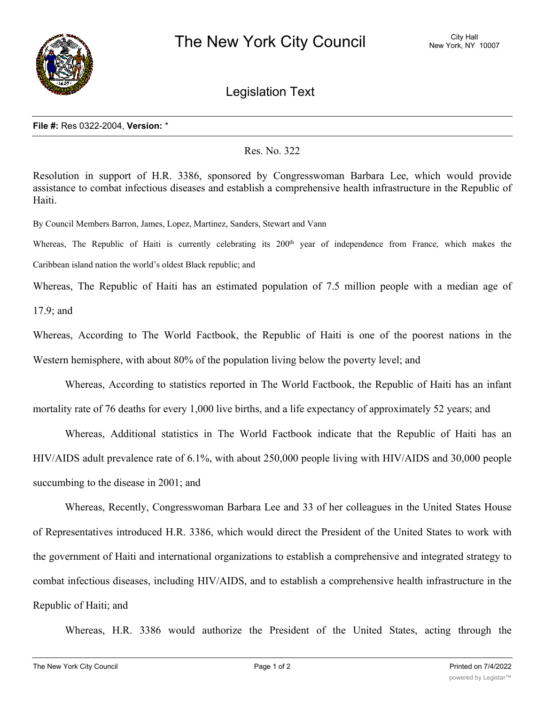

Legislation Text

## **File #:** Res 0322-2004, **Version:** \*

## Res. No. 322

Resolution in support of H.R. 3386, sponsored by Congresswoman Barbara Lee, which would provide assistance to combat infectious diseases and establish a comprehensive health infrastructure in the Republic of Haiti.

By Council Members Barron, James, Lopez, Martinez, Sanders, Stewart and Vann

Whereas, The Republic of Haiti is currently celebrating its 200<sup>th</sup> year of independence from France, which makes the Caribbean island nation the world's oldest Black republic; and

Whereas, The Republic of Haiti has an estimated population of 7.5 million people with a median age of 17.9; and

Whereas, According to The World Factbook, the Republic of Haiti is one of the poorest nations in the Western hemisphere, with about 80% of the population living below the poverty level; and

Whereas, According to statistics reported in The World Factbook, the Republic of Haiti has an infant mortality rate of 76 deaths for every 1,000 live births, and a life expectancy of approximately 52 years; and

Whereas, Additional statistics in The World Factbook indicate that the Republic of Haiti has an HIV/AIDS adult prevalence rate of 6.1%, with about 250,000 people living with HIV/AIDS and 30,000 people succumbing to the disease in 2001; and

Whereas, Recently, Congresswoman Barbara Lee and 33 of her colleagues in the United States House of Representatives introduced H.R. 3386, which would direct the President of the United States to work with the government of Haiti and international organizations to establish a comprehensive and integrated strategy to combat infectious diseases, including HIV/AIDS, and to establish a comprehensive health infrastructure in the Republic of Haiti; and

Whereas, H.R. 3386 would authorize the President of the United States, acting through the